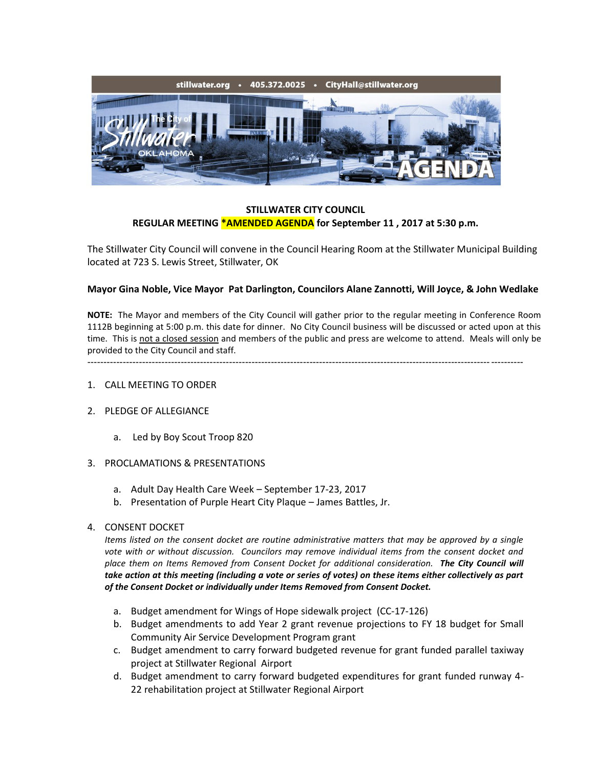

## **STILLWATER CITY COUNCIL REGULAR MEETING \*AMENDED AGENDA for September 11 , 2017 at 5:30 p.m.**

The Stillwater City Council will convene in the Council Hearing Room at the Stillwater Municipal Building located at 723 S. Lewis Street, Stillwater, OK

### **Mayor Gina Noble, Vice Mayor Pat Darlington, Councilors Alane Zannotti, Will Joyce, & John Wedlake**

**NOTE:** The Mayor and members of the City Council will gather prior to the regular meeting in Conference Room 1112B beginning at 5:00 p.m. this date for dinner. No City Council business will be discussed or acted upon at this time. This is not a closed session and members of the public and press are welcome to attend. Meals will only be provided to the City Council and staff.

---------------------------------------------------------------------------------------------------------------------------------------

- 1. CALL MEETING TO ORDER
- 2. PLEDGE OF ALLEGIANCE
	- a. Led by Boy Scout Troop 820
- 3. PROCLAMATIONS & PRESENTATIONS
	- a. Adult Day Health Care Week September 17-23, 2017
	- b. Presentation of Purple Heart City Plaque James Battles, Jr.

#### 4. CONSENT DOCKET

*Items listed on the consent docket are routine administrative matters that may be approved by a single vote with or without discussion. Councilors may remove individual items from the consent docket and place them on Items Removed from Consent Docket for additional consideration. The City Council will take action at this meeting (including a vote or series of votes) on these items either collectively as part of the Consent Docket or individually under Items Removed from Consent Docket.*

- a. Budget amendment for Wings of Hope sidewalk project (CC-17-126)
- b. Budget amendments to add Year 2 grant revenue projections to FY 18 budget for Small Community Air Service Development Program grant
- c. Budget amendment to carry forward budgeted revenue for grant funded parallel taxiway project at Stillwater Regional Airport
- d. Budget amendment to carry forward budgeted expenditures for grant funded runway 4- 22 rehabilitation project at Stillwater Regional Airport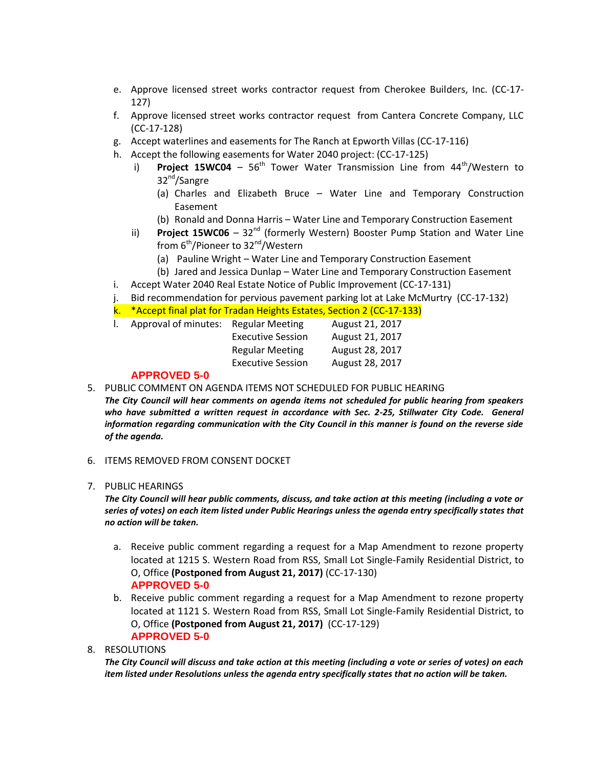- e. Approve licensed street works contractor request from Cherokee Builders, Inc. (CC-17- 127)
- f. Approve licensed street works contractor request from Cantera Concrete Company, LLC (CC-17-128)
- g. Accept waterlines and easements for The Ranch at Epworth Villas (CC-17-116)
- h. Accept the following easements for Water 2040 project: (CC-17-125)
	- i) **Project 15WC04** 56<sup>th</sup> Tower Water Transmission Line from 44<sup>th</sup>/Western to 32nd/Sangre
		- (a) Charles and Elizabeth Bruce Water Line and Temporary Construction Easement
		- (b) Ronald and Donna Harris Water Line and Temporary Construction Easement
	- ii) **Project 15WC06**  $32<sup>nd</sup>$  (formerly Western) Booster Pump Station and Water Line from  $6<sup>th</sup>/Pioneer$  to 32<sup>nd</sup>/Western
		- (a) Pauline Wright Water Line and Temporary Construction Easement
	- (b) Jared and Jessica Dunlap Water Line and Temporary Construction Easement
- i. Accept Water 2040 Real Estate Notice of Public Improvement (CC-17-131)
- j. Bid recommendation for pervious pavement parking lot at Lake McMurtry (CC-17-132)
- k. \*Accept final plat for Tradan Heights Estates, Section 2 (CC-17-133)

| Approval of minutes: Regular Meeting |                          | August 21, 2017 |
|--------------------------------------|--------------------------|-----------------|
|                                      | <b>Executive Session</b> | August 21, 2017 |
|                                      | <b>Regular Meeting</b>   | August 28, 2017 |
|                                      | <b>Executive Session</b> | August 28, 2017 |
|                                      |                          |                 |

## **APPROVED 5-0**

5. PUBLIC COMMENT ON AGENDA ITEMS NOT SCHEDULED FOR PUBLIC HEARING

*The City Council will hear comments on agenda items not scheduled for public hearing from speakers*  who have submitted a written request in accordance with Sec. 2-25, Stillwater City Code. General *information regarding communication with the City Council in this manner is found on the reverse side of the agenda.*

- 6. ITEMS REMOVED FROM CONSENT DOCKET
- 7. PUBLIC HEARINGS

*The City Council will hear public comments, discuss, and take action at this meeting (including a vote or series of votes) on each item listed under Public Hearings unless the agenda entry specifically states that no action will be taken.*

- a. Receive public comment regarding a request for a Map Amendment to rezone property located at 1215 S. Western Road from RSS, Small Lot Single-Family Residential District, to O, Office **(Postponed from August 21, 2017)** (CC-17-130) **APPROVED 5-0**
- b. Receive public comment regarding a request for a Map Amendment to rezone property located at 1121 S. Western Road from RSS, Small Lot Single-Family Residential District, to O, Office **(Postponed from August 21, 2017)** (CC-17-129) **APPROVED 5-0**

### 8. RESOLUTIONS

*The City Council will discuss and take action at this meeting (including a vote or series of votes) on each item listed under Resolutions unless the agenda entry specifically states that no action will be taken.*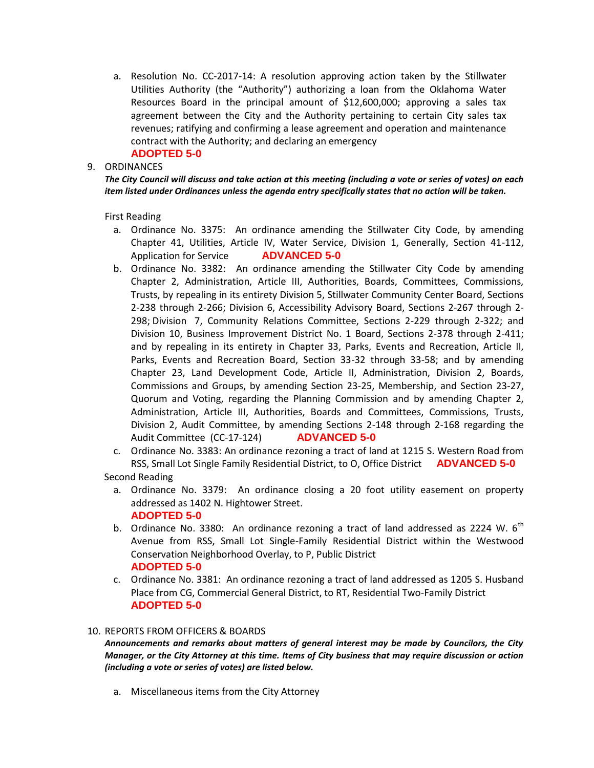a. Resolution No. CC-2017-14: A resolution approving action taken by the Stillwater Utilities Authority (the "Authority") authorizing a loan from the Oklahoma Water Resources Board in the principal amount of \$12,600,000; approving a sales tax agreement between the City and the Authority pertaining to certain City sales tax revenues; ratifying and confirming a lease agreement and operation and maintenance contract with the Authority; and declaring an emergency

# **ADOPTED 5-0**

### 9. ORDINANCES

*The City Council will discuss and take action at this meeting (including a vote or series of votes) on each item listed under Ordinances unless the agenda entry specifically states that no action will be taken.*

First Reading

- a. Ordinance No. 3375: An ordinance amending the Stillwater City Code, by amending Chapter 41, Utilities, Article IV, Water Service, Division 1, Generally, Section 41-112, Application for Service **ADVANCED 5-0**
- b. Ordinance No. 3382: An ordinance amending the Stillwater City Code by amending Chapter 2, Administration, Article III, Authorities, Boards, Committees, Commissions, Trusts, by repealing in its entirety Division 5, Stillwater Community Center Board, Sections 2-238 through 2-266; Division 6, Accessibility Advisory Board, Sections 2-267 through 2- 298; Division 7, Community Relations Committee, Sections 2-229 through 2-322; and Division 10, Business Improvement District No. 1 Board, Sections 2-378 through 2-411; and by repealing in its entirety in Chapter 33, Parks, Events and Recreation, Article II, Parks, Events and Recreation Board, Section 33-32 through 33-58; and by amending Chapter 23, Land Development Code, Article II, Administration, Division 2, Boards, Commissions and Groups, by amending Section 23-25, Membership, and Section 23-27, Quorum and Voting, regarding the Planning Commission and by amending Chapter 2, Administration, Article III, Authorities, Boards and Committees, Commissions, Trusts, Division 2, Audit Committee, by amending Sections 2-148 through 2-168 regarding the Audit Committee (CC-17-124) **ADVANCED 5-0**
- c. Ordinance No. 3383: An ordinance rezoning a tract of land at 1215 S. Western Road from RSS, Small Lot Single Family Residential District, to O, Office District **ADVANCED 5-0** Second Reading

a. Ordinance No. 3379: An ordinance closing a 20 foot utility easement on property addressed as 1402 N. Hightower Street.

- **ADOPTED 5-0**
- b. Ordinance No. 3380: An ordinance rezoning a tract of land addressed as 2224 W.  $6<sup>th</sup>$ Avenue from RSS, Small Lot Single-Family Residential District within the Westwood Conservation Neighborhood Overlay, to P, Public District **ADOPTED 5-0**
- c. Ordinance No. 3381: An ordinance rezoning a tract of land addressed as 1205 S. Husband Place from CG, Commercial General District, to RT, Residential Two-Family District **ADOPTED 5-0**

#### 10. REPORTS FROM OFFICERS & BOARDS

*Announcements and remarks about matters of general interest may be made by Councilors, the City Manager, or the City Attorney at this time. Items of City business that may require discussion or action (including a vote or series of votes) are listed below.*

a. Miscellaneous items from the City Attorney